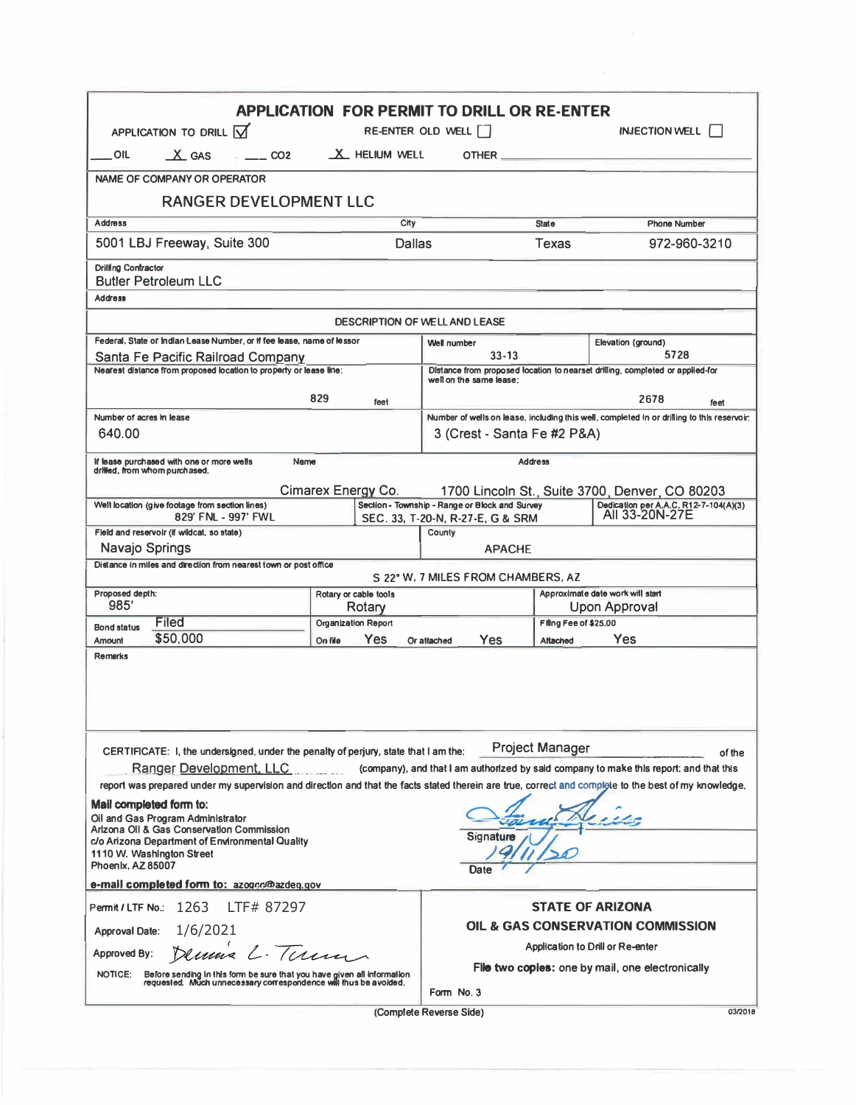| APPLICATION TO DRILL $\overline{M}$                                                                                                                                                                                                                                                                                                                                         |                               | <b>APPLICATION FOR PERMIT TO DRILL OR RE-ENTER</b><br>RE-ENTER OLD WELL |                        | <b>INJECTION WELL</b>                                                                      |  |
|-----------------------------------------------------------------------------------------------------------------------------------------------------------------------------------------------------------------------------------------------------------------------------------------------------------------------------------------------------------------------------|-------------------------------|-------------------------------------------------------------------------|------------------------|--------------------------------------------------------------------------------------------|--|
| $X$ GAS<br>OIL<br>CO2                                                                                                                                                                                                                                                                                                                                                       | X HELIUM WELL                 |                                                                         |                        |                                                                                            |  |
| <b>NAME OF COMPANY OR OPERATOR</b>                                                                                                                                                                                                                                                                                                                                          |                               |                                                                         |                        |                                                                                            |  |
| <b>RANGER DEVELOPMENT LLC</b>                                                                                                                                                                                                                                                                                                                                               |                               |                                                                         |                        |                                                                                            |  |
| <b>Address</b>                                                                                                                                                                                                                                                                                                                                                              | City                          |                                                                         | <b>State</b>           | <b>Phone Number</b>                                                                        |  |
| 5001 LBJ Freeway, Suite 300                                                                                                                                                                                                                                                                                                                                                 |                               | Dallas                                                                  | Texas                  | 972-960-3210                                                                               |  |
| <b>Drilling Contractor</b><br><b>Butler Petroleum LLC</b>                                                                                                                                                                                                                                                                                                                   |                               |                                                                         |                        |                                                                                            |  |
| <b>Address</b>                                                                                                                                                                                                                                                                                                                                                              |                               |                                                                         |                        |                                                                                            |  |
|                                                                                                                                                                                                                                                                                                                                                                             |                               | <b>DESCRIPTION OF WELL AND LEASE</b>                                    |                        |                                                                                            |  |
| Federal, State or Indian Lease Number, or If fee lease, name of lessor                                                                                                                                                                                                                                                                                                      |                               | Elevation (ground)<br><b>Well number</b>                                |                        |                                                                                            |  |
| Santa Fe Pacific Railroad Company                                                                                                                                                                                                                                                                                                                                           | $33 - 13$                     |                                                                         | 5728                   |                                                                                            |  |
| Nearest distance from proposed location to property or lease line:                                                                                                                                                                                                                                                                                                          |                               | well on the same lease:                                                 |                        | Distance from proposed location to nearset drilling, completed or applied-for              |  |
|                                                                                                                                                                                                                                                                                                                                                                             | 829<br>feet                   |                                                                         |                        | 2678<br>feet                                                                               |  |
| Number of acres in lease                                                                                                                                                                                                                                                                                                                                                    |                               |                                                                         |                        | Number of wells on lease, including this well, completed in or drilling to this reservoir: |  |
| 640.00                                                                                                                                                                                                                                                                                                                                                                      |                               | 3 (Crest - Santa Fe #2 P&A)                                             |                        |                                                                                            |  |
| If lease purchased with one or more wells<br>drilled, from whom purchased.                                                                                                                                                                                                                                                                                                  | Name                          |                                                                         | <b>Address</b>         |                                                                                            |  |
|                                                                                                                                                                                                                                                                                                                                                                             | Cimarex Energy Co.            |                                                                         |                        | 1700 Lincoln St., Suite 3700, Denver, CO 80203                                             |  |
| Well location (give footage from section lines)                                                                                                                                                                                                                                                                                                                             |                               | Section - Township - Range or Block and Survey                          |                        | Dedication per A,A,C, R12-7-104(A)(3)<br>All 33-20N-27E                                    |  |
| 829' FNL - 997' FWL<br>Field and reservoir (if wildcat, so state)                                                                                                                                                                                                                                                                                                           |                               | SEC. 33, T-20-N, R-27-E, G & SRM<br>County                              |                        |                                                                                            |  |
| Navajo Springs                                                                                                                                                                                                                                                                                                                                                              |                               | <b>APACHE</b>                                                           |                        |                                                                                            |  |
| Distance in miles and direction from nearest town or post office                                                                                                                                                                                                                                                                                                            |                               |                                                                         |                        |                                                                                            |  |
|                                                                                                                                                                                                                                                                                                                                                                             |                               | S 22° W. 7 MILES FROM CHAMBERS, AZ                                      |                        |                                                                                            |  |
|                                                                                                                                                                                                                                                                                                                                                                             | Rotary or cable tools         |                                                                         |                        | Approximate date work will start                                                           |  |
| 985'                                                                                                                                                                                                                                                                                                                                                                        |                               |                                                                         |                        |                                                                                            |  |
| Filed                                                                                                                                                                                                                                                                                                                                                                       | Rotary<br>Organization Report |                                                                         | Filing Fee of \$25.00  | Upon Approval                                                                              |  |
| \$50,000                                                                                                                                                                                                                                                                                                                                                                    | <b>Yes</b><br>On file         | Yes<br>Or attached                                                      | Altached               | Yes                                                                                        |  |
|                                                                                                                                                                                                                                                                                                                                                                             |                               |                                                                         |                        |                                                                                            |  |
| CERTIFICATE: I, the undersigned, under the penalty of perjury, state that I am the:                                                                                                                                                                                                                                                                                         |                               |                                                                         | <b>Project Manager</b> |                                                                                            |  |
| Ranger Development, LLC Contact Company), and that I am authorized by said company to make this report; and that this                                                                                                                                                                                                                                                       |                               |                                                                         |                        |                                                                                            |  |
| report was prepared under my supervision and direction and that the facts stated therein are true, correct and compigle to the best of my knowledge.                                                                                                                                                                                                                        |                               |                                                                         |                        |                                                                                            |  |
|                                                                                                                                                                                                                                                                                                                                                                             |                               |                                                                         |                        |                                                                                            |  |
|                                                                                                                                                                                                                                                                                                                                                                             |                               |                                                                         |                        |                                                                                            |  |
|                                                                                                                                                                                                                                                                                                                                                                             |                               | Signature                                                               |                        |                                                                                            |  |
|                                                                                                                                                                                                                                                                                                                                                                             |                               |                                                                         |                        |                                                                                            |  |
|                                                                                                                                                                                                                                                                                                                                                                             |                               | Date                                                                    |                        |                                                                                            |  |
| Proposed depth:<br><b>Bond status</b><br><b>Amount</b><br><b>Remarks</b><br>Mail completed form to:<br>Oil and Gas Program Administrator<br>Arizona OII & Gas Conservation Commission<br>c/o Arizona Department of Environmental Quality<br>1110 W. Washington Street<br>Phoenix, AZ 85007<br>e-mail completed form to: azogcc@azdeq.gov<br>Permit/LTF No.: 1263 LTF# 87297 |                               |                                                                         |                        | <b>STATE OF ARIZONA</b>                                                                    |  |
| <b>Approval Date:</b>                                                                                                                                                                                                                                                                                                                                                       |                               |                                                                         |                        | of the<br>OIL & GAS CONSERVATION COMMISSION                                                |  |
| 1/6/2021                                                                                                                                                                                                                                                                                                                                                                    |                               |                                                                         |                        | Application to Drill or Re-enter                                                           |  |
| Dennis L. Term<br><b>Approved By:</b><br>NOTICE:<br>Before sending in this form be sure that you have given all information<br>requested. Much unnecessary correspondence will thus be avoided.                                                                                                                                                                             |                               |                                                                         |                        | File two copies: one by mail, one electronically                                           |  |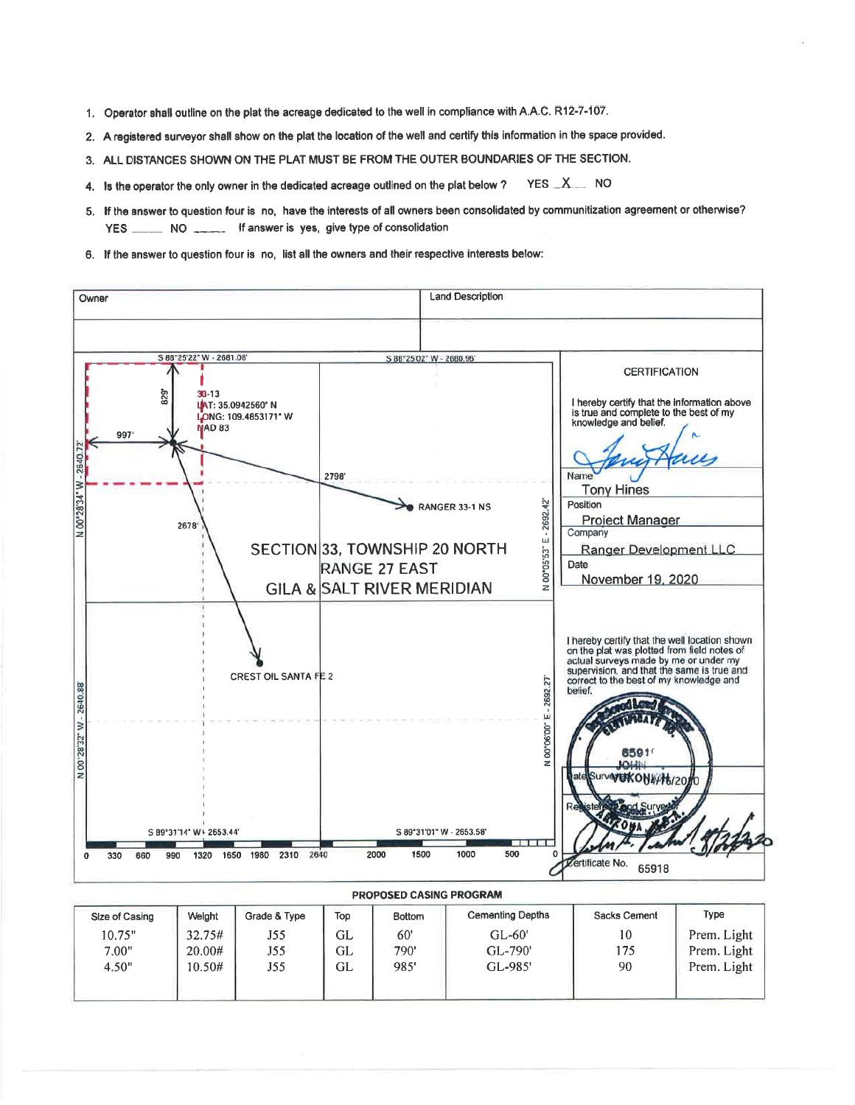- 1. Operator shall outline on the plat the acreage dedicated to the well in compliance with A.A.C. R12-7-107.
- 2. A registered surveyor shall show on the plat the location of the well and certify this information in the space provided.
- 3. ALL DISTANCES SHOWN ON THE PLAT MUST BE FROM THE OUTER BOUNDARIES OF THE SECTION.
- 4. Is the operator the only owner in the dedicated acreage outlined on the plat below ? YES  $X$  NO
- 5. If the answer to question four is no, have the interests of all owners been consolidated by communitization agreement or otherwise? NO \_\_\_\_\_\_ If answer is yes, give type of consolidation YES  $-$
- 6. If the answer to question four is no, list all the owners and their respective interests below:



| Size of Casing | Welght | Grade & Type | Top | <b>Bottom</b> | <b>Cementing Depths</b> | Sacks Cement | Type        |
|----------------|--------|--------------|-----|---------------|-------------------------|--------------|-------------|
| 10.75"         | 32.75# | J55          | GL  | 60'           | $GL-60'$                | 10           | Prem. Light |
| 7.00"          | 20.00# | J55          | GL  | 790'          | GL-790'                 | 175          | Prem. Light |
| 4.50"          | 10.50# | J55          | GL  | 985'          | GL-985'                 | 90           | Prem. Light |
|                |        |              |     |               |                         |              |             |